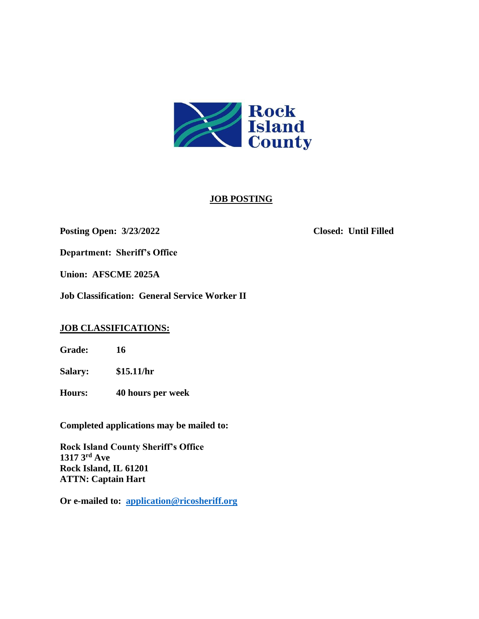

# **JOB POSTING**

## **Posting Open: 3/23/2022 Closed: Until Filled**

**Department: Sheriff's Office** 

**Union: AFSCME 2025A**

**Job Classification: General Service Worker II**

# **JOB CLASSIFICATIONS:**

**Grade: 16**

**Salary: \$15.11/hr**

**Hours: 40 hours per week**

**Completed applications may be mailed to:**

**Rock Island County Sheriff's Office 1317 3rd Ave Rock Island, IL 61201 ATTN: Captain Hart**

**Or e-mailed to: [application@ricosheriff.org](mailto:application@ricosheriff.org)**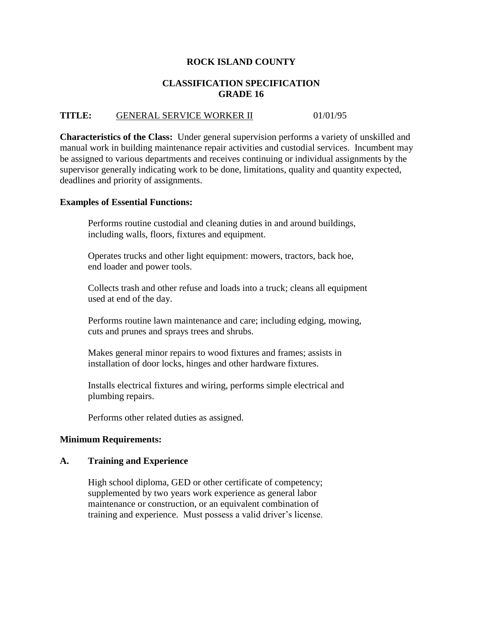# **ROCK ISLAND COUNTY**

# **CLASSIFICATION SPECIFICATION GRADE 16**

# **TITLE:** GENERAL SERVICE WORKER II 01/01/95

**Characteristics of the Class:** Under general supervision performs a variety of unskilled and manual work in building maintenance repair activities and custodial services. Incumbent may be assigned to various departments and receives continuing or individual assignments by the supervisor generally indicating work to be done, limitations, quality and quantity expected, deadlines and priority of assignments.

### **Examples of Essential Functions:**

Performs routine custodial and cleaning duties in and around buildings, including walls, floors, fixtures and equipment.

Operates trucks and other light equipment: mowers, tractors, back hoe, end loader and power tools.

Collects trash and other refuse and loads into a truck; cleans all equipment used at end of the day.

Performs routine lawn maintenance and care; including edging, mowing, cuts and prunes and sprays trees and shrubs.

Makes general minor repairs to wood fixtures and frames; assists in installation of door locks, hinges and other hardware fixtures.

Installs electrical fixtures and wiring, performs simple electrical and plumbing repairs.

Performs other related duties as assigned.

### **Minimum Requirements:**

### **A. Training and Experience**

High school diploma, GED or other certificate of competency; supplemented by two years work experience as general labor maintenance or construction, or an equivalent combination of training and experience. Must possess a valid driver's license.